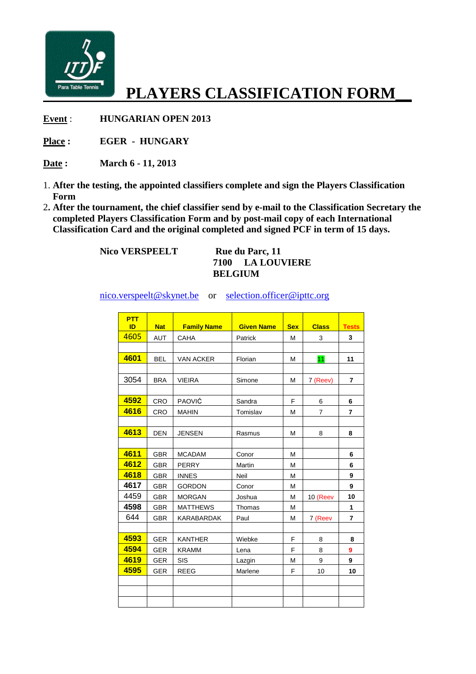

## **PLAYERS CLASSIFICATION FORM\_\_**

**Event**: **HUNGARIAN OPEN 2013** 

**Place : EGER - HUNGARY**

**Date : March 6 - 11, 2013**

- 1. **After the testing, the appointed classifiers complete and sign the Players Classification Form**
- 2**. After the tournament, the chief classifier send by e e-mail to the Classification Secretary the** 2. After the tournament, the chief classifier send by e-mail to the Classification Secret completed Players Classification Form and by post-mail copy of each International  **Classification Card and the original completed and signed PCF in term of 15 days.**

 **Nico VERSPEELT** 

**Rue du Parc, 11 7100 LA LOUVIERE BELGIUM** 

nico.verspeelt@skynet.be or <u>selection.officer@ipttc.org</u>

| <b>PTT</b><br>ID | <b>Nat</b> | <b>Family Name</b> | <b>Given Name</b> | <b>Sex</b> | <b>Class</b>   | <b>Tests</b>   |
|------------------|------------|--------------------|-------------------|------------|----------------|----------------|
| 4605             | <b>AUT</b> | CAHA               | Patrick           | M          | 3              | 3              |
|                  |            |                    |                   |            |                |                |
| 4601             | <b>BEL</b> | <b>VAN ACKER</b>   | Florian           | M          | 11             | 11             |
|                  |            |                    |                   |            |                |                |
| 3054             | <b>BRA</b> | <b>VIEIRA</b>      | Simone            | M          | 7 (Reev)       | $\overline{7}$ |
|                  |            |                    |                   |            |                |                |
| 4592             | CRO        | PAOVIĆ             | Sandra            | F          | 6              | 6              |
| 4616             | CRO        | <b>MAHIN</b>       | Tomislav          | M          | $\overline{7}$ | $\overline{7}$ |
|                  |            |                    |                   |            |                |                |
| 4613             | <b>DEN</b> | <b>JENSEN</b>      | Rasmus            | M          | 8              | 8              |
|                  |            |                    |                   |            |                |                |
| 4611             | <b>GBR</b> | <b>MCADAM</b>      | Conor             | M          |                | 6              |
| 4612             | <b>GBR</b> | <b>PERRY</b>       | Martin            | M          |                | 6              |
| 4618             | <b>GBR</b> | <b>INNES</b>       | Neil              | M          |                | 9              |
| 4617             | <b>GBR</b> | <b>GORDON</b>      | Conor             | M          |                | 9              |
| 4459             | <b>GBR</b> | <b>MORGAN</b>      | Joshua            | M          | 10 (Reev       | 10             |
| 4598             | <b>GBR</b> | <b>MATTHEWS</b>    | Thomas            | M          |                | 1              |
| 644              | <b>GBR</b> | KARABARDAK         | Paul              | M          | 7 (Reev        | $\overline{7}$ |
|                  |            |                    |                   |            |                |                |
| 4593             | <b>GER</b> | <b>KANTHER</b>     | Wiebke            | F          | 8              | 8              |
| 4594             | <b>GER</b> | <b>KRAMM</b>       | Lena              | F          | 8              | 9              |
| 4619             | <b>GER</b> | <b>SIS</b>         | Lazgin            | M          | 9              | 9              |
| 4595             | <b>GER</b> | <b>REEG</b>        | Marlene           | F          | 10             | 10             |
|                  |            |                    |                   |            |                |                |
|                  |            |                    |                   |            |                |                |
|                  |            |                    |                   |            |                |                |